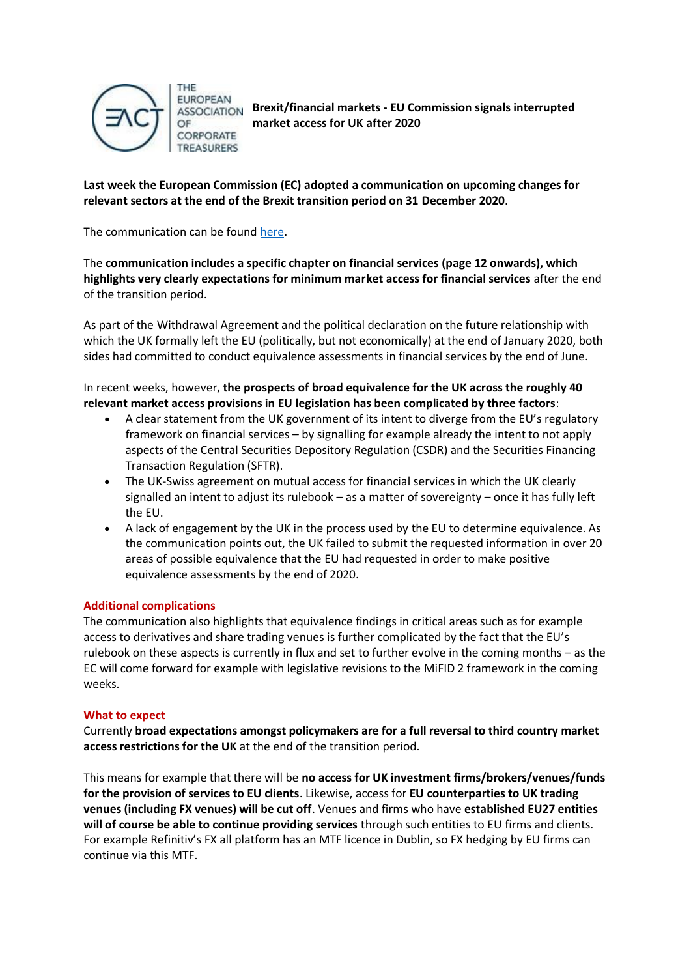

THE **EUROPEAN** OF CORPORATE **TREASURERS** 

**Brexit/financial markets - EU Commission signals interrupted market access for UK after 2020**

**Last week the European Commission (EC) adopted a communication on upcoming changes for relevant sectors at the end of the Brexit transition period on 31 December 2020**.

The communication can be found [here.](https://urldefense.proofpoint.com/v2/url?u=https-3A__ec.europa.eu_commission_presscorner_home_en&d=DwMFBA&c=fI0JhOcC9sazIDbfuIJfb5eUTpijf9JJnoZDRaZnez0&r=XAlBf5RSASV462EQpxFTB79Rv_QtuzuqllYrYMVVEEo&m=xZnWAYq3Gropi1gXDXKBAJ4Y4-IXTB_uczz8KEGAZmM&s=IF3BEJvCsdOAFrJUz1nBF6RcIkjQlaNFp3uL4Wg1ZaA&e=)

The **communication includes a specific chapter on financial services (page 12 onwards), which highlights very clearly expectations for minimum market access for financial services** after the end of the transition period.

As part of the Withdrawal Agreement and the political declaration on the future relationship with which the UK formally left the EU (politically, but not economically) at the end of January 2020, both sides had committed to conduct equivalence assessments in financial services by the end of June.

In recent weeks, however, **the prospects of broad equivalence for the UK across the roughly 40 relevant market access provisions in EU legislation has been complicated by three factors**:

- A clear statement from the UK government of its intent to diverge from the EU's regulatory framework on financial services – by signalling for example already the intent to not apply aspects of the Central Securities Depository Regulation (CSDR) and the Securities Financing Transaction Regulation (SFTR).
- The UK-Swiss agreement on mutual access for financial services in which the UK clearly signalled an intent to adjust its rulebook – as a matter of sovereignty – once it has fully left the EU.
- A lack of engagement by the UK in the process used by the EU to determine equivalence. As the communication points out, the UK failed to submit the requested information in over 20 areas of possible equivalence that the EU had requested in order to make positive equivalence assessments by the end of 2020.

## **Additional complications**

The communication also highlights that equivalence findings in critical areas such as for example access to derivatives and share trading venues is further complicated by the fact that the EU's rulebook on these aspects is currently in flux and set to further evolve in the coming months – as the EC will come forward for example with legislative revisions to the MiFID 2 framework in the coming weeks.

## **What to expect**

Currently **broad expectations amongst policymakers are for a full reversal to third country market access restrictions for the UK** at the end of the transition period.

This means for example that there will be **no access for UK investment firms/brokers/venues/funds for the provision of services to EU clients**. Likewise, access for **EU counterparties to UK trading venues (including FX venues) will be cut off**. Venues and firms who have **established EU27 entities will of course be able to continue providing services** through such entities to EU firms and clients. For example Refinitiv's FX all platform has an MTF licence in Dublin, so FX hedging by EU firms can continue via this MTF.